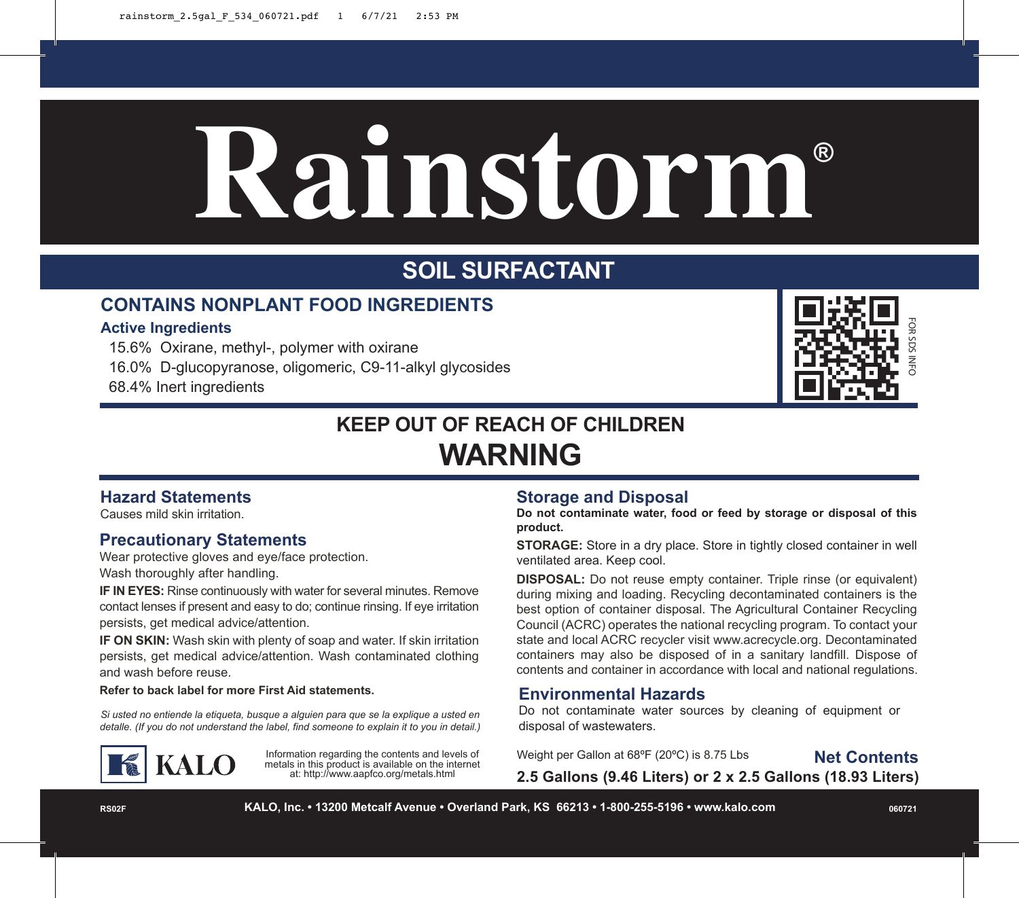# **Rainstorm®**

# **SOIL SURFACTANT**

### **CONTAINS NONPLANT FOOD INGREDIENTS**

#### **Active Ingredients**

15.6% Oxirane, methyl-, polymer with oxirane

16.0% D-glucopyranose, oligomeric, C9-11-alkyl glycosides

68.4% Inert ingredients



# **KEEP OUT OF REACH OF CHILDREN WARNING**

#### **Hazard Statements**

Causes mild skin irritation.

#### **Precautionary Statements**

Wear protective gloves and eye/face protection. Wash thoroughly after handling.

**IF IN EYES:** Rinse continuously with water for several minutes. Remove contact lenses if present and easy to do; continue rinsing. If eye irritation persists, get medical advice/attention.

**IF ON SKIN:** Wash skin with plenty of soap and water. If skin irritation persists, get medical advice/attention. Wash contaminated clothing and wash before reuse.

#### **Refer to back label for more First Aid statements.**

*Si usted no entiende la etiqueta, busque a alguien para que se la explique a usted en detalle. (If you do not understand the label, find someone to explain it to you in detail.)*



Information regarding the contents and levels of metals in this product is available on the internet at: http://www.aapfco.org/metals.html

#### **Storage and Disposal**

**Do not contaminate water, food or feed by storage or disposal of this product.** 

**STORAGE:** Store in a dry place. Store in tightly closed container in well ventilated area. Keep cool.

**DISPOSAL:** Do not reuse empty container. Triple rinse (or equivalent) during mixing and loading. Recycling decontaminated containers is the best option of container disposal. The Agricultural Container Recycling Council (ACRC) operates the national recycling program. To contact your state and local ACRC recycler visit www.acrecycle.org. Decontaminated containers may also be disposed of in a sanitary landfill. Dispose of contents and container in accordance with local and national regulations.

#### **Environmental Hazards**

Do not contaminate water sources by cleaning of equipment or disposal of wastewaters.

Weight per Gallon at 68ºF (20ºC) is 8.75 Lbs

**Net Contents**

**2.5 Gallons (9.46 Liters) or 2 x 2.5 Gallons (18.93 Liters)**